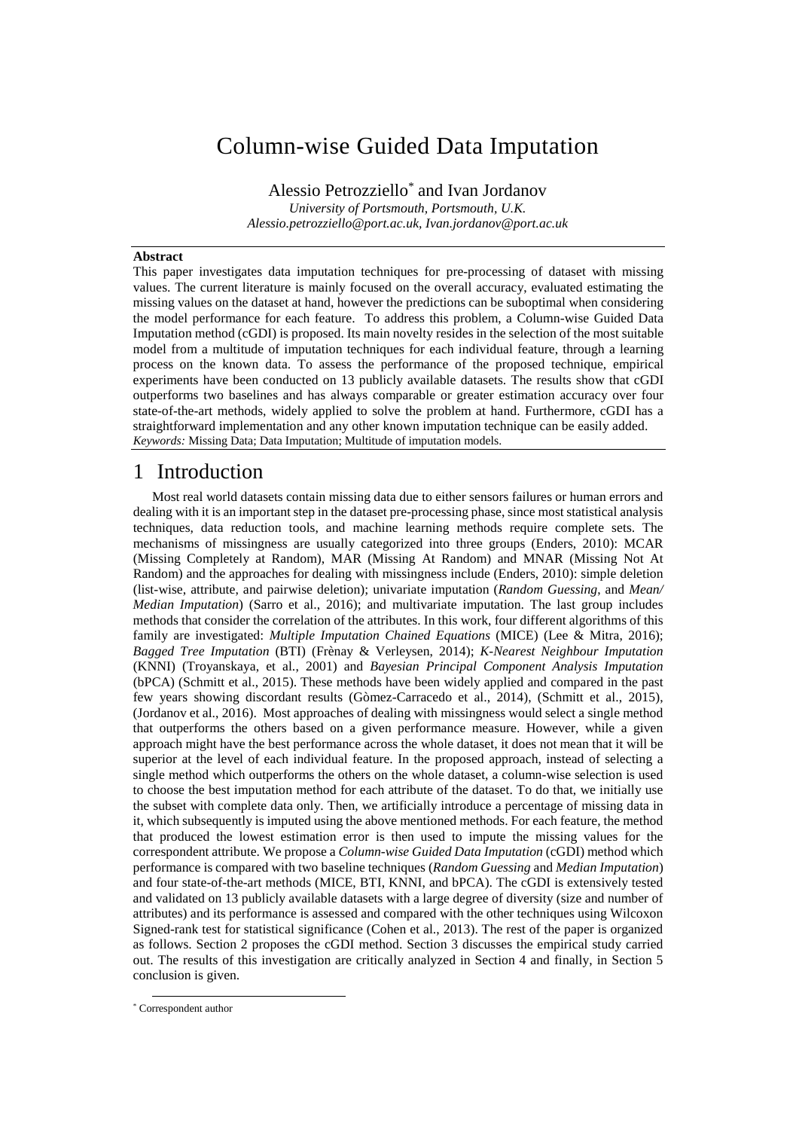# Column-wise Guided Data Imputation

Alessio Petrozziello\* and Ivan Jordanov *University of Portsmouth, Portsmouth, U.K. Alessio.petrozziello@port.ac.uk, [Ivan.jordanov@port.ac.uk](mailto:hoderk@cs.man.ac.uk)*

#### **Abstract**

This paper investigates data imputation techniques for pre-processing of dataset with missing values. The current literature is mainly focused on the overall accuracy, evaluated estimating the missing values on the dataset at hand, however the predictions can be suboptimal when considering the model performance for each feature. To address this problem, a Column-wise Guided Data Imputation method (cGDI) is proposed. Its main novelty resides in the selection of the most suitable model from a multitude of imputation techniques for each individual feature, through a learning process on the known data. To assess the performance of the proposed technique, empirical experiments have been conducted on 13 publicly available datasets. The results show that cGDI outperforms two baselines and has always comparable or greater estimation accuracy over four state-of-the-art methods, widely applied to solve the problem at hand. Furthermore, cGDI has a straightforward implementation and any other known imputation technique can be easily added. *Keywords:* Missing Data; Data Imputation; Multitude of imputation models.

#### 1 Introduction

Most real world datasets contain missing data due to either sensors failures or human errors and dealing with it is an important step in the dataset pre-processing phase, since most statistical analysis techniques, data reduction tools, and machine learning methods require complete sets. The mechanisms of missingness are usually categorized into three groups (Enders, 2010): MCAR (Missing Completely at Random), MAR (Missing At Random) and MNAR (Missing Not At Random) and the approaches for dealing with missingness include (Enders, 2010): simple deletion (list-wise, attribute, and pairwise deletion); univariate imputation (*Random Guessing*, and *Mean/ Median Imputation*) (Sarro et al., 2016); and multivariate imputation. The last group includes methods that consider the correlation of the attributes. In this work, four different algorithms of this family are investigated: *Multiple Imputation Chained Equations* (MICE) (Lee & Mitra, 2016); *Bagged Tree Imputation* (BTI) (Frènay & Verleysen, 2014); *K-Nearest Neighbour Imputation* (KNNI) (Troyanskaya, et al., 2001) and *Bayesian Principal Component Analysis Imputation* (bPCA) (Schmitt et al., 2015). These methods have been widely applied and compared in the past few years showing discordant results (Gòmez-Carracedo et al., 2014), (Schmitt et al., 2015), (Jordanov et al., 2016). Most approaches of dealing with missingness would select a single method that outperforms the others based on a given performance measure. However, while a given approach might have the best performance across the whole dataset, it does not mean that it will be superior at the level of each individual feature. In the proposed approach, instead of selecting a single method which outperforms the others on the whole dataset, a column-wise selection is used to choose the best imputation method for each attribute of the dataset. To do that, we initially use the subset with complete data only. Then, we artificially introduce a percentage of missing data in it, which subsequently is imputed using the above mentioned methods. For each feature, the method that produced the lowest estimation error is then used to impute the missing values for the correspondent attribute. We propose a *Column-wise Guided Data Imputation* (cGDI) method which performance is compared with two baseline techniques (*Random Guessing* and *Median Imputation*) and four state-of-the-art methods (MICE, BTI, KNNI, and bPCA). The cGDI is extensively tested and validated on 13 publicly available datasets with a large degree of diversity (size and number of attributes) and its performance is assessed and compared with the other techniques using Wilcoxon Signed-rank test for statistical significance (Cohen et al., 2013). The rest of the paper is organized as follows. Section 2 proposes the cGDI method. Section 3 discusses the empirical study carried out. The results of this investigation are critically analyzed in Section 4 and finally, in Section 5 conclusion is given.

 <sup>\*</sup> Correspondent author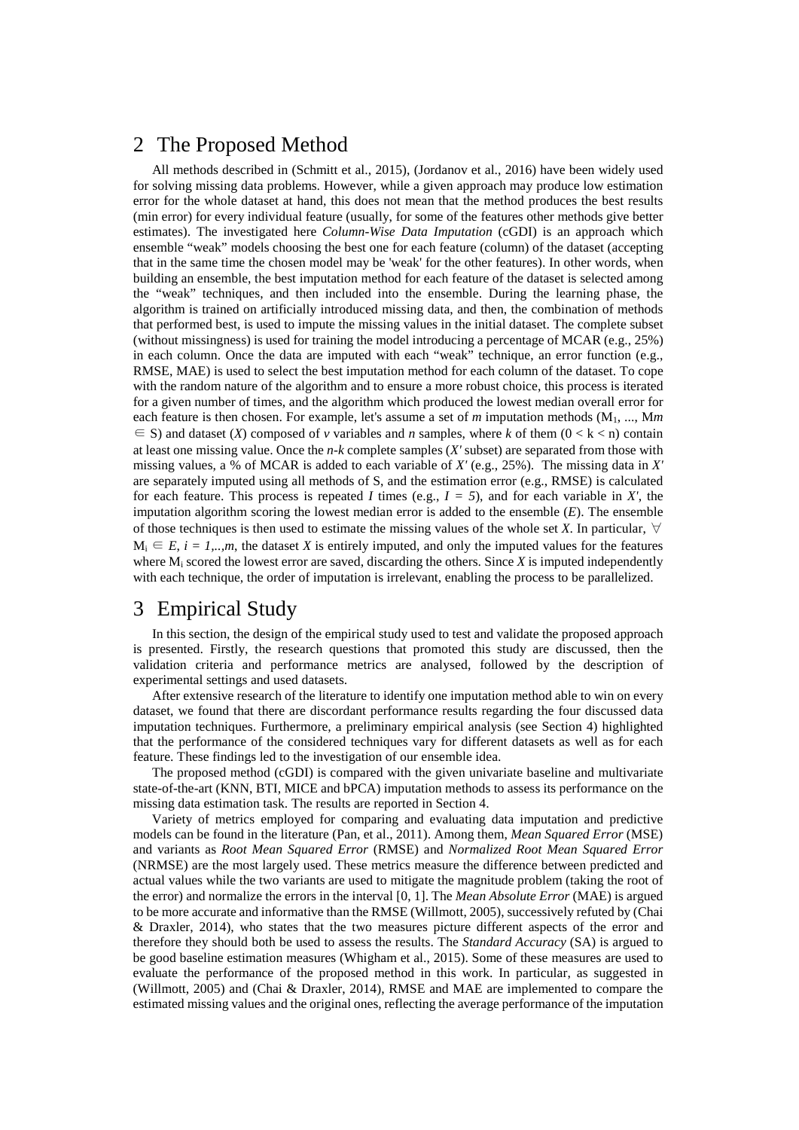## 2 The Proposed Method

All methods described in (Schmitt et al., 2015), (Jordanov et al., 2016) have been widely used for solving missing data problems. However, while a given approach may produce low estimation error for the whole dataset at hand, this does not mean that the method produces the best results (min error) for every individual feature (usually, for some of the features other methods give better estimates). The investigated here *Column-Wise Data Imputation* (cGDI) is an approach which ensemble "weak" models choosing the best one for each feature (column) of the dataset (accepting that in the same time the chosen model may be 'weak' for the other features). In other words, when building an ensemble, the best imputation method for each feature of the dataset is selected among the "weak" techniques, and then included into the ensemble. During the learning phase, the algorithm is trained on artificially introduced missing data, and then, the combination of methods that performed best, is used to impute the missing values in the initial dataset. The complete subset (without missingness) is used for training the model introducing a percentage of MCAR (e.g., 25%) in each column. Once the data are imputed with each "weak" technique, an error function (e.g., RMSE, MAE) is used to select the best imputation method for each column of the dataset. To cope with the random nature of the algorithm and to ensure a more robust choice, this process is iterated for a given number of times, and the algorithm which produced the lowest median overall error for each feature is then chosen. For example, let's assume a set of *m* imputation methods (M1, ..., M*m*  $\in$  S) and dataset (*X*) composed of *v* variables and *n* samples, where *k* of them (0 < k < n) contain at least one missing value. Once the *n-k* complete samples (*X'* subset) are separated from those with missing values, a % of MCAR is added to each variable of *X'* (e.g., 25%). The missing data in *X'* are separately imputed using all methods of S, and the estimation error (e.g., RMSE) is calculated for each feature. This process is repeated *I* times (e.g.,  $I = 5$ ), and for each variable in *X'*, the imputation algorithm scoring the lowest median error is added to the ensemble (*E*). The ensemble of those techniques is then used to estimate the missing values of the whole set *X*. In particular,  $\forall$  $M_i \n\t\in E$ ,  $i = 1,...,m$ , the dataset *X* is entirely imputed, and only the imputed values for the features where Mi scored the lowest error are saved, discarding the others. Since *X* is imputed independently with each technique, the order of imputation is irrelevant, enabling the process to be parallelized.

## 3 Empirical Study

In this section, the design of the empirical study used to test and validate the proposed approach is presented. Firstly, the research questions that promoted this study are discussed, then the validation criteria and performance metrics are analysed, followed by the description of experimental settings and used datasets.

After extensive research of the literature to identify one imputation method able to win on every dataset, we found that there are discordant performance results regarding the four discussed data imputation techniques. Furthermore, a preliminary empirical analysis (see Section 4) highlighted that the performance of the considered techniques vary for different datasets as well as for each feature. These findings led to the investigation of our ensemble idea.

The proposed method (cGDI) is compared with the given univariate baseline and multivariate state-of-the-art (KNN, BTI, MICE and bPCA) imputation methods to assess its performance on the missing data estimation task. The results are reported in Section 4.

Variety of metrics employed for comparing and evaluating data imputation and predictive models can be found in the literature (Pan, et al., 2011). Among them, *Mean Squared Error* (MSE) and variants as *Root Mean Squared Error* (RMSE) and *Normalized Root Mean Squared Error* (NRMSE) are the most largely used. These metrics measure the difference between predicted and actual values while the two variants are used to mitigate the magnitude problem (taking the root of the error) and normalize the errors in the interval [0, 1]. The *Mean Absolute Error* (MAE) is argued to be more accurate and informative than the RMSE (Willmott, 2005), successively refuted by (Chai & Draxler, 2014), who states that the two measures picture different aspects of the error and therefore they should both be used to assess the results. The *Standard Accuracy* (SA) is argued to be good baseline estimation measures (Whigham et al., 2015). Some of these measures are used to evaluate the performance of the proposed method in this work. In particular, as suggested in (Willmott, 2005) and (Chai & Draxler, 2014), RMSE and MAE are implemented to compare the estimated missing values and the original ones, reflecting the average performance of the imputation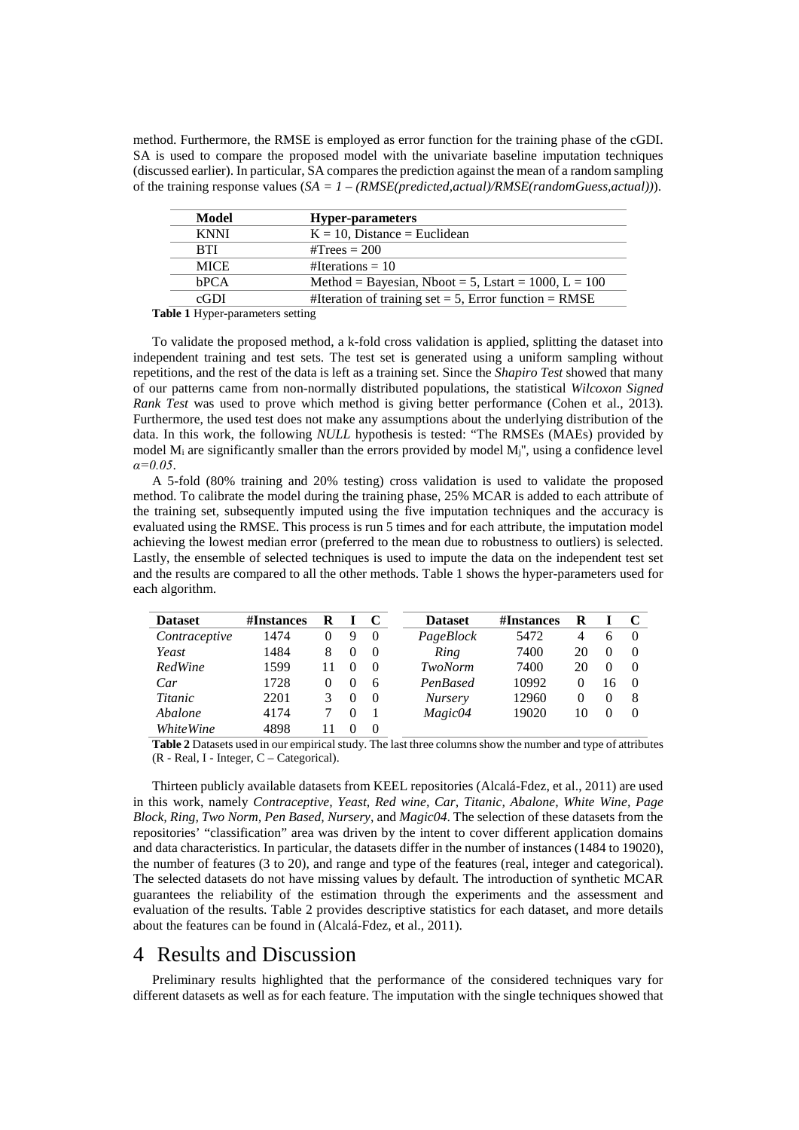method. Furthermore, the RMSE is employed as error function for the training phase of the cGDI. SA is used to compare the proposed model with the univariate baseline imputation techniques (discussed earlier). In particular, SA compares the prediction against the mean of a random sampling of the training response values (*SA = 1 – (RMSE(predicted,actual)/RMSE(randomGuess,actual))*).

| <b>Hyper-parameters</b>                                   |
|-----------------------------------------------------------|
| $K = 10$ , Distance = Euclidean                           |
| $\text{\#Trees} = 200$                                    |
| #Iterations = $10$                                        |
| Method = Bayesian, Nboot = 5, Lstart = $1000$ , L = $100$ |
| #Iteration of training set = 5, Error function = $RMSE$   |
|                                                           |

<span id="page-2-0"></span>**Table 1** Hyper-parameters setting

To validate the proposed method, a k-fold cross validation is applied, splitting the dataset into independent training and test sets. The test set is generated using a uniform sampling without repetitions, and the rest of the data is left as a training set. Since the *Shapiro Test* showed that many of our patterns came from non-normally distributed populations, the statistical *Wilcoxon Signed Rank Test* was used to prove which method is giving better performance (Cohen et al., 2013). Furthermore, the used test does not make any assumptions about the underlying distribution of the data. In this work, the following *NULL* hypothesis is tested: "The RMSEs (MAEs) provided by model  $M_i$  are significantly smaller than the errors provided by model  $M_i$ ", using a confidence level *α=0.05*.

A 5-fold (80% training and 20% testing) cross validation is used to validate the proposed method. To calibrate the model during the training phase, 25% MCAR is added to each attribute of the training set, subsequently imputed using the five imputation techniques and the accuracy is evaluated using the RMSE. This process is run 5 times and for each attribute, the imputation model achieving the lowest median error (preferred to the mean due to robustness to outliers) is selected. Lastly, the ensemble of selected techniques is used to impute the data on the independent test set and the results are compared to all the other methods. [Table 1](#page-2-0) shows the hyper-parameters used for each algorithm.

| <b>Dataset</b>   | #Instances | R |        |          | <b>Dataset</b> | #Instances | R        |    |          |
|------------------|------------|---|--------|----------|----------------|------------|----------|----|----------|
| Contraceptive    | 1474       |   | 9      | $\Omega$ | PageBlock      | 5472       | 4        | h  | $\Omega$ |
| Yeast            | 1484       | 8 | $_{0}$ | $\theta$ | Ring           | 7400       | 20       |    | $\theta$ |
| RedWine          | 1599       |   |        | $\Omega$ | TwoNorm        | 7400       | 20       |    | $\theta$ |
| Car              | 1728       |   | $_{0}$ | 6        | PenBased       | 10992      | $\theta$ | 16 | $\theta$ |
| Titanic          | 2201       |   |        | $\theta$ | <b>Nursery</b> | 12960      | $\theta$ |    | 8        |
| Abalone          | 4174       |   |        |          | Magic04        | 19020      | 10       |    | $\Omega$ |
| <i>WhiteWine</i> | 4898       |   |        |          |                |            |          |    |          |

<span id="page-2-1"></span>**Table 2** Datasets used in our empirical study. The last three columns show the number and type of attributes (R - Real, I - Integer, C – Categorical).

Thirteen publicly available datasets from KEEL repositories (Alcalá-Fdez, et al., 2011) are used in this work, namely *Contraceptive, Yeast, Red wine, Car, Titanic, Abalone, White Wine, Page Block, Ring, Two Norm, Pen Based, Nursery*, and *Magic04*. The selection of these datasets from the repositories' "classification" area was driven by the intent to cover different application domains and data characteristics. In particular, the datasets differ in the number of instances (1484 to 19020), the number of features (3 to 20), and range and type of the features (real, integer and categorical). The selected datasets do not have missing values by default. The introduction of synthetic MCAR guarantees the reliability of the estimation through the experiments and the assessment and evaluation of the results. [Table 2](#page-2-1) provides descriptive statistics for each dataset, and more details about the features can be found in (Alcalá-Fdez, et al., 2011).

#### 4 Results and Discussion

Preliminary results highlighted that the performance of the considered techniques vary for different datasets as well as for each feature. The imputation with the single techniques showed that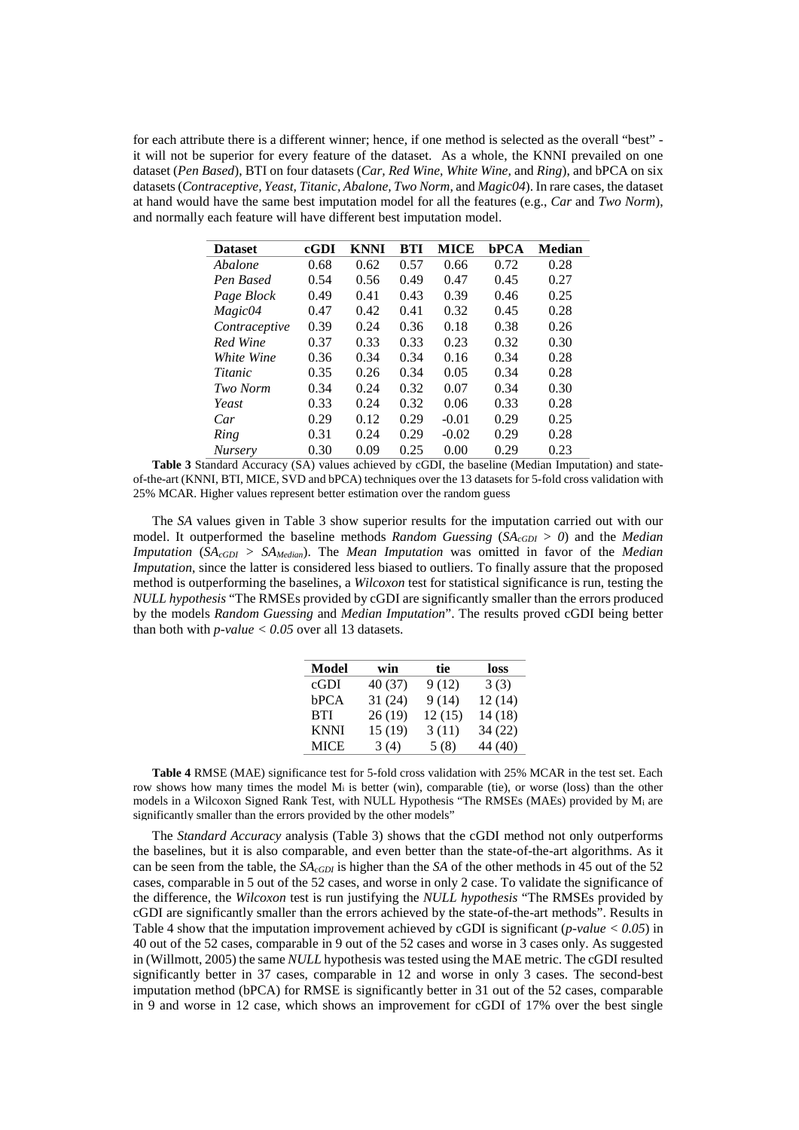for each attribute there is a different winner; hence, if one method is selected as the overall "best" it will not be superior for every feature of the dataset. As a whole, the KNNI prevailed on one dataset (*Pen Based*), BTI on four datasets (*Car, Red Wine, White Wine,* and *Ring*), and bPCA on six datasets (*Contraceptive, Yeast, Titanic, Abalone, Two Norm,* and *Magic04*). In rare cases, the dataset at hand would have the same best imputation model for all the features (e.g., *Car* and *Two Norm*), and normally each feature will have different best imputation model.

| <b>Dataset</b> | cGDI | KNNI | BTI  | MICE    | bPCA | Median |
|----------------|------|------|------|---------|------|--------|
| Abalone        | 0.68 | 0.62 | 0.57 | 0.66    | 0.72 | 0.28   |
| Pen Based      | 0.54 | 0.56 | 0.49 | 0.47    | 0.45 | 0.27   |
| Page Block     | 0.49 | 0.41 | 0.43 | 0.39    | 0.46 | 0.25   |
| Magic04        | 0.47 | 0.42 | 0.41 | 0.32    | 0.45 | 0.28   |
| Contraceptive  | 0.39 | 0.24 | 0.36 | 0.18    | 0.38 | 0.26   |
| Red Wine       | 0.37 | 0.33 | 0.33 | 0.23    | 0.32 | 0.30   |
| White Wine     | 0.36 | 0.34 | 0.34 | 0.16    | 0.34 | 0.28   |
| <i>Titanic</i> | 0.35 | 0.26 | 0.34 | 0.05    | 0.34 | 0.28   |
| Two Norm       | 0.34 | 0.24 | 0.32 | 0.07    | 0.34 | 0.30   |
| Yeast          | 0.33 | 0.24 | 0.32 | 0.06    | 0.33 | 0.28   |
| Car            | 0.29 | 0.12 | 0.29 | $-0.01$ | 0.29 | 0.25   |
| Ring           | 0.31 | 0.24 | 0.29 | $-0.02$ | 0.29 | 0.28   |
| <b>Nursery</b> | 0.30 | 0.09 | 0.25 | 0.00    | 0.29 | 0.23   |

<span id="page-3-0"></span>**Table 3** Standard Accuracy (SA) values achieved by cGDI, the baseline (Median Imputation) and stateof-the-art (KNNI, BTI, MICE, SVD and bPCA) techniques over the 13 datasets for 5-fold cross validation with 25% MCAR. Higher values represent better estimation over the random guess

The *SA* values given in [Table 3](#page-3-0) show superior results for the imputation carried out with our model. It outperformed the baseline methods *Random Guessing* ( $SA_{cGDI} > 0$ ) and the *Median Imputation* ( $SA_{cGDI} > SA_{Median}$ ). The *Mean Imputation* was omitted in favor of the *Median Imputation*, since the latter is considered less biased to outliers. To finally assure that the proposed method is outperforming the baselines, a *Wilcoxon* test for statistical significance is run, testing the *NULL hypothesis* "The RMSEs provided by cGDI are significantly smaller than the errors produced by the models *Random Guessing* and *Median Imputation*". The results proved cGDI being better than both with  $p$ -value  $< 0.05$  over all 13 datasets.

| Model       | win     | tie    | loss    |
|-------------|---------|--------|---------|
| cGDI        | 40 (37) | 9(12)  | 3(3)    |
| bPCA        | 31(24)  | 9(14)  | 12(14)  |
| <b>BTI</b>  | 26(19)  | 12(15) | 14(18)  |
| <b>KNNI</b> | 15(19)  | 3(11)  | 34(22)  |
| <b>MICE</b> | 3(4)    | 5(8)   | 44 (40) |

**Table 4** RMSE (MAE) significance test for 5-fold cross validation with 25% MCAR in the test set. Each row shows how many times the model  $M_i$  is better (win), comparable (tie), or worse (loss) than the other models in a Wilcoxon Signed Rank Test, with NULL Hypothesis "The RMSEs (MAEs) provided by Mi are significantly smaller than the errors provided by the other models"

The *Standard Accuracy* analysis [\(Table 3\)](#page-3-0) shows that the cGDI method not only outperforms the baselines, but it is also comparable, and even better than the state-of-the-art algorithms. As it can be seen from the table, the *SAcGDI* is higher than the *SA* of the other methods in 45 out of the 52 cases, comparable in 5 out of the 52 cases, and worse in only 2 case. To validate the significance of the difference, the *Wilcoxon* test is run justifying the *NULL hypothesis* "The RMSEs provided by cGDI are significantly smaller than the errors achieved by the state-of-the-art methods". Results in Table 4 show that the imputation improvement achieved by cGDI is significant (*p-value < 0.05*) in 40 out of the 52 cases, comparable in 9 out of the 52 cases and worse in 3 cases only. As suggested in (Willmott, 2005) the same *NULL* hypothesis was tested using the MAE metric. The cGDI resulted significantly better in 37 cases, comparable in 12 and worse in only 3 cases. The second-best imputation method (bPCA) for RMSE is significantly better in 31 out of the 52 cases, comparable in 9 and worse in 12 case, which shows an improvement for cGDI of 17% over the best single